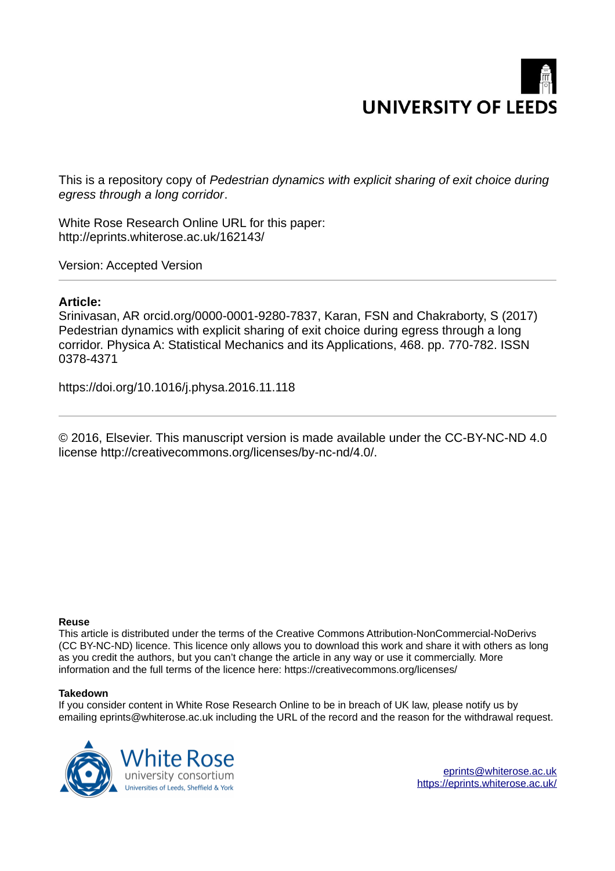# **UNIVERSITY OF LEEDS**

This is a repository copy of *Pedestrian dynamics with explicit sharing of exit choice during egress through a long corridor*.

White Rose Research Online URL for this paper: http://eprints.whiterose.ac.uk/162143/

Version: Accepted Version

# **Article:**

Srinivasan, AR orcid.org/0000-0001-9280-7837, Karan, FSN and Chakraborty, S (2017) Pedestrian dynamics with explicit sharing of exit choice during egress through a long corridor. Physica A: Statistical Mechanics and its Applications, 468. pp. 770-782. ISSN 0378-4371

https://doi.org/10.1016/j.physa.2016.11.118

© 2016, Elsevier. This manuscript version is made available under the CC-BY-NC-ND 4.0 license http://creativecommons.org/licenses/by-nc-nd/4.0/.

## **Reuse**

This article is distributed under the terms of the Creative Commons Attribution-NonCommercial-NoDerivs (CC BY-NC-ND) licence. This licence only allows you to download this work and share it with others as long as you credit the authors, but you can't change the article in any way or use it commercially. More information and the full terms of the licence here: https://creativecommons.org/licenses/

## **Takedown**

If you consider content in White Rose Research Online to be in breach of UK law, please notify us by emailing eprints@whiterose.ac.uk including the URL of the record and the reason for the withdrawal request.



[eprints@whiterose.ac.uk](mailto:eprints@whiterose.ac.uk) <https://eprints.whiterose.ac.uk/>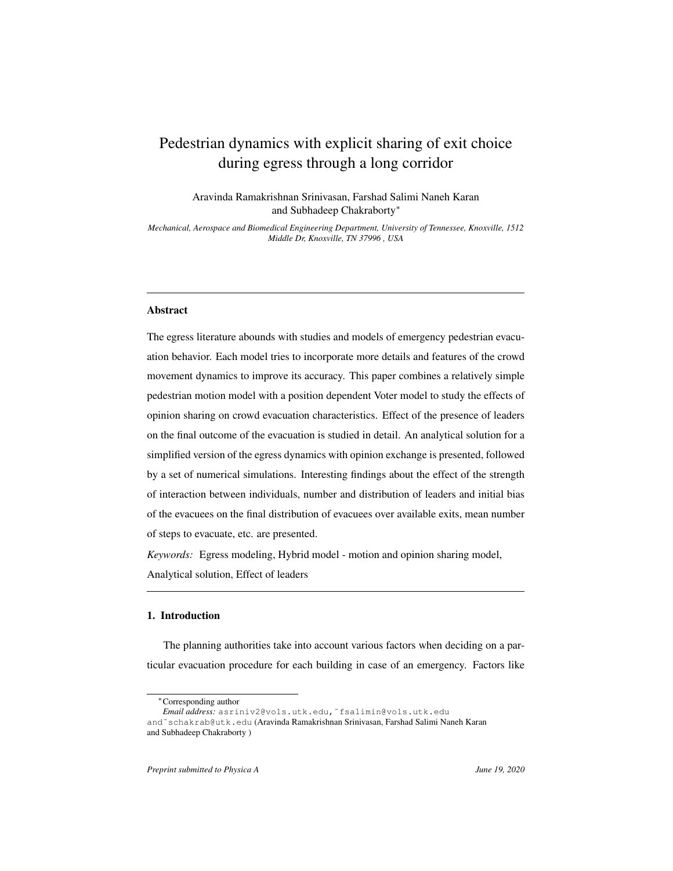# Pedestrian dynamics with explicit sharing of exit choice during egress through a long corridor

Aravinda Ramakrishnan Srinivasan, Farshad Salimi Naneh Karan and Subhadeep Chakraborty<sup>∗</sup>

*Mechanical, Aerospace and Biomedical Engineering Department, University of Tennessee, Knoxville, 1512 Middle Dr, Knoxville, TN 37996 , USA*

#### Abstract

The egress literature abounds with studies and models of emergency pedestrian evacuation behavior. Each model tries to incorporate more details and features of the crowd movement dynamics to improve its accuracy. This paper combines a relatively simple pedestrian motion model with a position dependent Voter model to study the effects of opinion sharing on crowd evacuation characteristics. Effect of the presence of leaders on the final outcome of the evacuation is studied in detail. An analytical solution for a simplified version of the egress dynamics with opinion exchange is presented, followed by a set of numerical simulations. Interesting findings about the effect of the strength of interaction between individuals, number and distribution of leaders and initial bias of the evacuees on the final distribution of evacuees over available exits, mean number of steps to evacuate, etc. are presented.

*Keywords:* Egress modeling, Hybrid model - motion and opinion sharing model, Analytical solution, Effect of leaders

#### 1. Introduction

The planning authorities take into account various factors when deciding on a particular evacuation procedure for each building in case of an emergency. Factors like

<sup>∗</sup>Corresponding author

*Email address:* asriniv2@vols.utk.edu,˜fsalimin@vols.utk.edu

and˜schakrab@utk.edu (Aravinda Ramakrishnan Srinivasan, Farshad Salimi Naneh Karan and Subhadeep Chakraborty )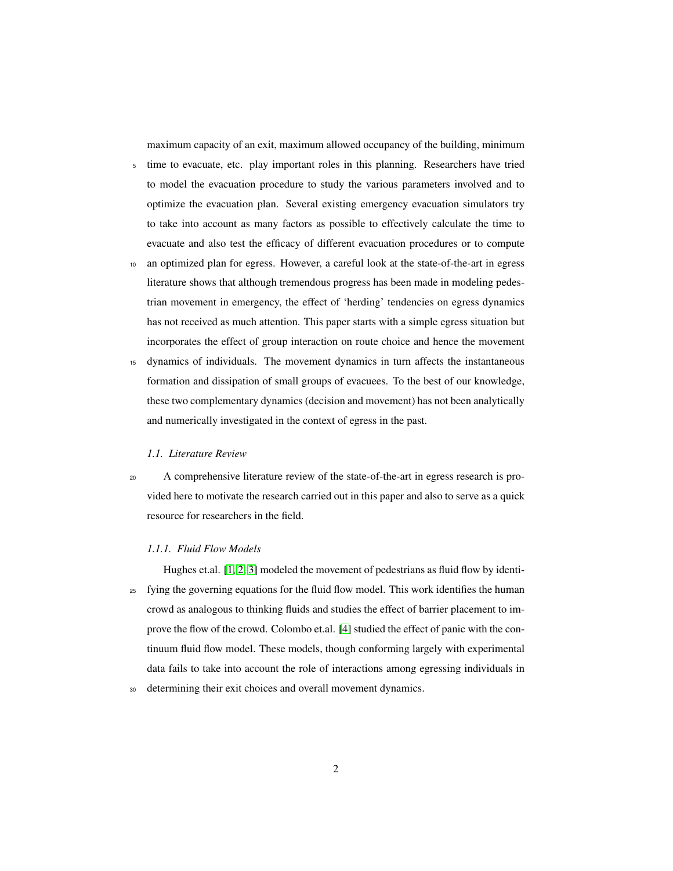maximum capacity of an exit, maximum allowed occupancy of the building, minimum

- <sup>5</sup> time to evacuate, etc. play important roles in this planning. Researchers have tried to model the evacuation procedure to study the various parameters involved and to optimize the evacuation plan. Several existing emergency evacuation simulators try to take into account as many factors as possible to effectively calculate the time to evacuate and also test the efficacy of different evacuation procedures or to compute
- an optimized plan for egress. However, a careful look at the state-of-the-art in egress literature shows that although tremendous progress has been made in modeling pedestrian movement in emergency, the effect of 'herding' tendencies on egress dynamics has not received as much attention. This paper starts with a simple egress situation but incorporates the effect of group interaction on route choice and hence the movement
- <sup>15</sup> dynamics of individuals. The movement dynamics in turn affects the instantaneous formation and dissipation of small groups of evacuees. To the best of our knowledge, these two complementary dynamics (decision and movement) has not been analytically and numerically investigated in the context of egress in the past.

#### *1.1. Literature Review*

<sup>20</sup> A comprehensive literature review of the state-of-the-art in egress research is provided here to motivate the research carried out in this paper and also to serve as a quick resource for researchers in the field.

#### *1.1.1. Fluid Flow Models*

- Hughes et.al. [\[1,](#page-21-0) [2,](#page-22-0) [3\]](#page-22-1) modeled the movement of pedestrians as fluid flow by identi-<sup>25</sup> fying the governing equations for the fluid flow model. This work identifies the human crowd as analogous to thinking fluids and studies the effect of barrier placement to improve the flow of the crowd. Colombo et.al. [\[4\]](#page-22-2) studied the effect of panic with the continuum fluid flow model. These models, though conforming largely with experimental data fails to take into account the role of interactions among egressing individuals in
- <sup>30</sup> determining their exit choices and overall movement dynamics.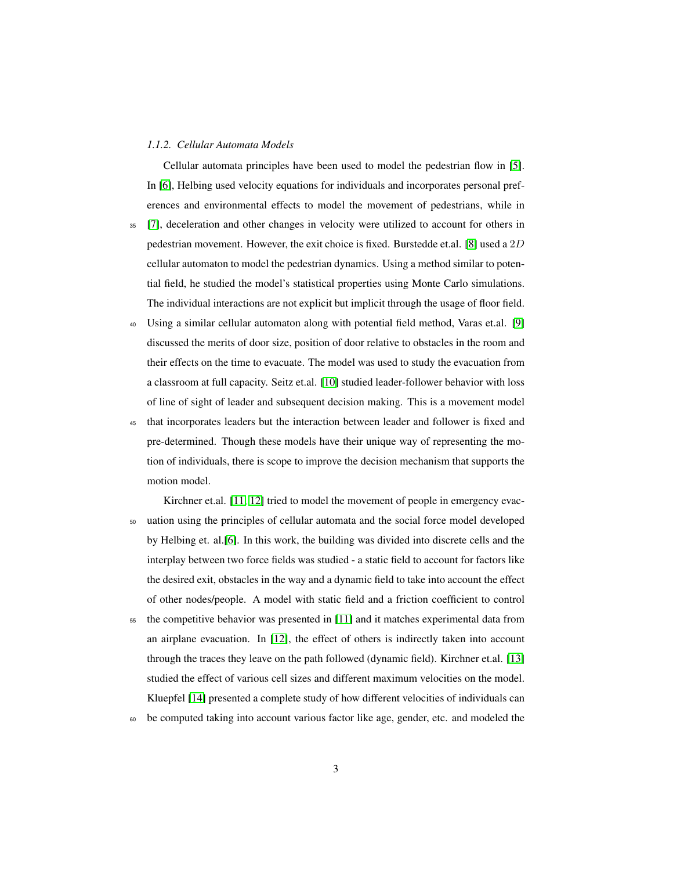#### *1.1.2. Cellular Automata Models*

Cellular automata principles have been used to model the pedestrian flow in [\[5\]](#page-22-3). In [\[6\]](#page-22-4), Helbing used velocity equations for individuals and incorporates personal preferences and environmental effects to model the movement of pedestrians, while in

- <sup>35</sup> [\[7\]](#page-22-5), deceleration and other changes in velocity were utilized to account for others in pedestrian movement. However, the exit choice is fixed. Burstedde et.al. [\[8\]](#page-22-6) used a 2D cellular automaton to model the pedestrian dynamics. Using a method similar to potential field, he studied the model's statistical properties using Monte Carlo simulations. The individual interactions are not explicit but implicit through the usage of floor field.
- <sup>40</sup> Using a similar cellular automaton along with potential field method, Varas et.al. [\[9\]](#page-22-7) discussed the merits of door size, position of door relative to obstacles in the room and their effects on the time to evacuate. The model was used to study the evacuation from a classroom at full capacity. Seitz et.al. [\[10\]](#page-22-8) studied leader-follower behavior with loss of line of sight of leader and subsequent decision making. This is a movement model
- <sup>45</sup> that incorporates leaders but the interaction between leader and follower is fixed and pre-determined. Though these models have their unique way of representing the motion of individuals, there is scope to improve the decision mechanism that supports the motion model.
- Kirchner et.al. [\[11,](#page-22-9) [12\]](#page-23-0) tried to model the movement of people in emergency evac-<sup>50</sup> uation using the principles of cellular automata and the social force model developed by Helbing et. al.[\[6\]](#page-22-4). In this work, the building was divided into discrete cells and the interplay between two force fields was studied - a static field to account for factors like the desired exit, obstacles in the way and a dynamic field to take into account the effect of other nodes/people. A model with static field and a friction coefficient to control
- <sup>55</sup> the competitive behavior was presented in [\[11\]](#page-22-9) and it matches experimental data from an airplane evacuation. In [\[12\]](#page-23-0), the effect of others is indirectly taken into account through the traces they leave on the path followed (dynamic field). Kirchner et.al. [\[13\]](#page-23-1) studied the effect of various cell sizes and different maximum velocities on the model. Kluepfel [\[14\]](#page-23-2) presented a complete study of how different velocities of individuals can
- <sup>60</sup> be computed taking into account various factor like age, gender, etc. and modeled the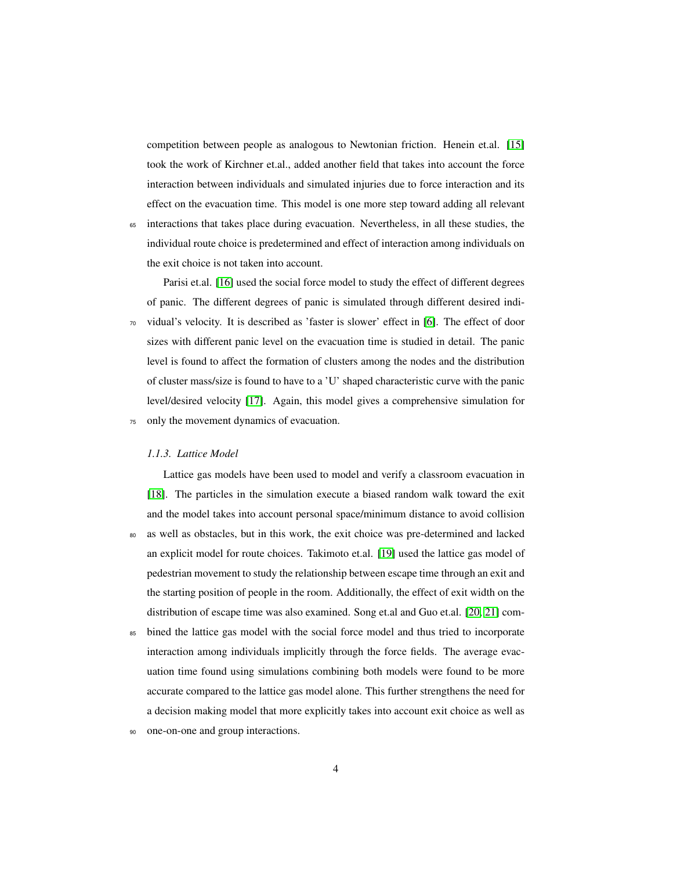competition between people as analogous to Newtonian friction. Henein et.al. [\[15\]](#page-23-3) took the work of Kirchner et.al., added another field that takes into account the force interaction between individuals and simulated injuries due to force interaction and its effect on the evacuation time. This model is one more step toward adding all relevant

<sup>65</sup> interactions that takes place during evacuation. Nevertheless, in all these studies, the individual route choice is predetermined and effect of interaction among individuals on the exit choice is not taken into account.

Parisi et.al. [\[16\]](#page-23-4) used the social force model to study the effect of different degrees of panic. The different degrees of panic is simulated through different desired indi-<sup>70</sup> vidual's velocity. It is described as 'faster is slower' effect in [\[6\]](#page-22-4). The effect of door sizes with different panic level on the evacuation time is studied in detail. The panic level is found to affect the formation of clusters among the nodes and the distribution of cluster mass/size is found to have to a 'U' shaped characteristic curve with the panic level/desired velocity [\[17\]](#page-23-5). Again, this model gives a comprehensive simulation for <sup>75</sup> only the movement dynamics of evacuation.

#### *1.1.3. Lattice Model*

Lattice gas models have been used to model and verify a classroom evacuation in [\[18\]](#page-23-6). The particles in the simulation execute a biased random walk toward the exit and the model takes into account personal space/minimum distance to avoid collision

<sup>80</sup> as well as obstacles, but in this work, the exit choice was pre-determined and lacked an explicit model for route choices. Takimoto et.al. [\[19\]](#page-23-7) used the lattice gas model of pedestrian movement to study the relationship between escape time through an exit and the starting position of people in the room. Additionally, the effect of exit width on the distribution of escape time was also examined. Song et.al and Guo et.al. [\[20,](#page-23-8) [21\]](#page-23-9) com-

<sup>85</sup> bined the lattice gas model with the social force model and thus tried to incorporate interaction among individuals implicitly through the force fields. The average evacuation time found using simulations combining both models were found to be more accurate compared to the lattice gas model alone. This further strengthens the need for a decision making model that more explicitly takes into account exit choice as well as

<sup>90</sup> one-on-one and group interactions.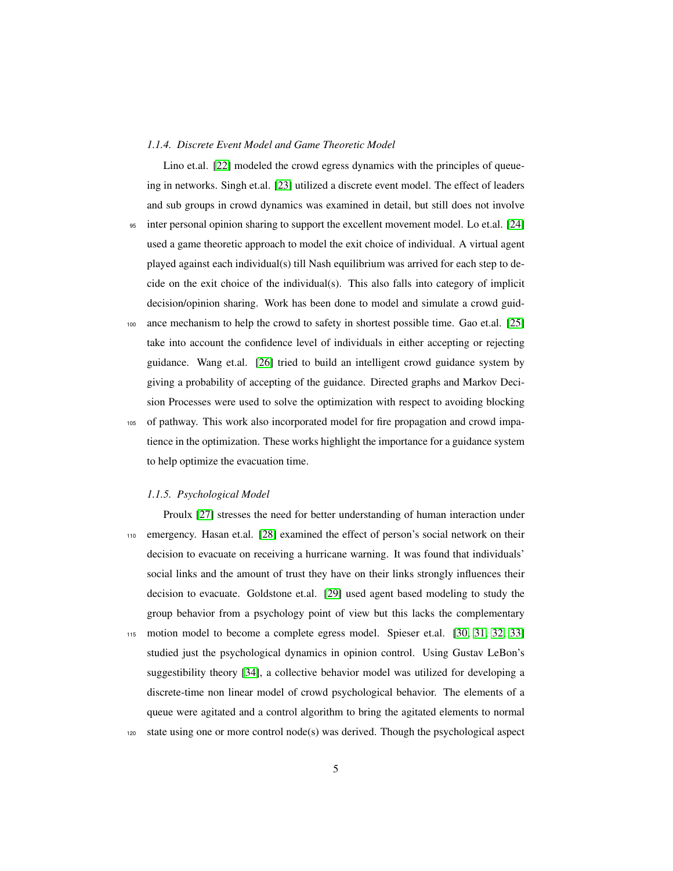#### *1.1.4. Discrete Event Model and Game Theoretic Model*

Lino et.al. [\[22\]](#page-24-0) modeled the crowd egress dynamics with the principles of queueing in networks. Singh et.al. [\[23\]](#page-24-1) utilized a discrete event model. The effect of leaders and sub groups in crowd dynamics was examined in detail, but still does not involve <sup>95</sup> inter personal opinion sharing to support the excellent movement model. Lo et.al. [\[24\]](#page-24-2) used a game theoretic approach to model the exit choice of individual. A virtual agent played against each individual(s) till Nash equilibrium was arrived for each step to decide on the exit choice of the individual(s). This also falls into category of implicit

decision/opinion sharing. Work has been done to model and simulate a crowd guid-

- <sup>100</sup> ance mechanism to help the crowd to safety in shortest possible time. Gao et.al. [\[25\]](#page-24-3) take into account the confidence level of individuals in either accepting or rejecting guidance. Wang et.al. [\[26\]](#page-24-4) tried to build an intelligent crowd guidance system by giving a probability of accepting of the guidance. Directed graphs and Markov Decision Processes were used to solve the optimization with respect to avoiding blocking
- <sup>105</sup> of pathway. This work also incorporated model for fire propagation and crowd impatience in the optimization. These works highlight the importance for a guidance system to help optimize the evacuation time.

#### *1.1.5. Psychological Model*

Proulx [\[27\]](#page-24-5) stresses the need for better understanding of human interaction under <sup>110</sup> emergency. Hasan et.al. [\[28\]](#page-24-6) examined the effect of person's social network on their decision to evacuate on receiving a hurricane warning. It was found that individuals' social links and the amount of trust they have on their links strongly influences their decision to evacuate. Goldstone et.al. [\[29\]](#page-24-7) used agent based modeling to study the group behavior from a psychology point of view but this lacks the complementary <sup>115</sup> motion model to become a complete egress model. Spieser et.al. [\[30,](#page-24-8) [31,](#page-24-9) [32,](#page-25-0) [33\]](#page-25-1) studied just the psychological dynamics in opinion control. Using Gustav LeBon's suggestibility theory [\[34\]](#page-25-2), a collective behavior model was utilized for developing a discrete-time non linear model of crowd psychological behavior. The elements of a queue were agitated and a control algorithm to bring the agitated elements to normal <sup>120</sup> state using one or more control node(s) was derived. Though the psychological aspect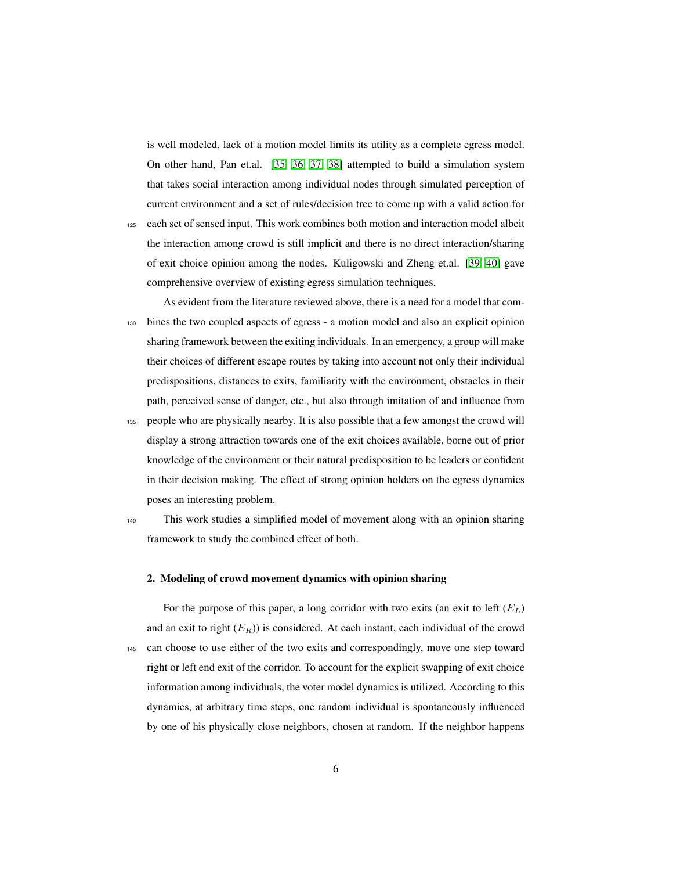is well modeled, lack of a motion model limits its utility as a complete egress model. On other hand, Pan et.al. [\[35,](#page-25-3) [36,](#page-25-4) [37,](#page-25-5) [38\]](#page-25-6) attempted to build a simulation system that takes social interaction among individual nodes through simulated perception of current environment and a set of rules/decision tree to come up with a valid action for

- <span id="page-6-0"></span><sup>125</sup> each set of sensed input. This work combines both motion and interaction model albeit the interaction among crowd is still implicit and there is no direct interaction/sharing of exit choice opinion among the nodes. Kuligowski and Zheng et.al. [\[39,](#page-25-7) [40\]](#page-25-8) gave comprehensive overview of existing egress simulation techniques.
- As evident from the literature reviewed above, there is a need for a model that com-<sup>130</sup> bines the two coupled aspects of egress - a motion model and also an explicit opinion sharing framework between the exiting individuals. In an emergency, a group will make their choices of different escape routes by taking into account not only their individual predispositions, distances to exits, familiarity with the environment, obstacles in their path, perceived sense of danger, etc., but also through imitation of and influence from <sup>135</sup> people who are physically nearby. It is also possible that a few amongst the crowd will
- display a strong attraction towards one of the exit choices available, borne out of prior knowledge of the environment or their natural predisposition to be leaders or confident in their decision making. The effect of strong opinion holders on the egress dynamics poses an interesting problem.
- 

<sup>140</sup> This work studies a simplified model of movement along with an opinion sharing framework to study the combined effect of both.

#### 2. Modeling of crowd movement dynamics with opinion sharing

For the purpose of this paper, a long corridor with two exits (an exit to left  $(E_L)$ ) and an exit to right  $(E_R)$ ) is considered. At each instant, each individual of the crowd <sup>145</sup> can choose to use either of the two exits and correspondingly, move one step toward right or left end exit of the corridor. To account for the explicit swapping of exit choice information among individuals, the voter model dynamics is utilized. According to this dynamics, at arbitrary time steps, one random individual is spontaneously influenced by one of his physically close neighbors, chosen at random. If the neighbor happens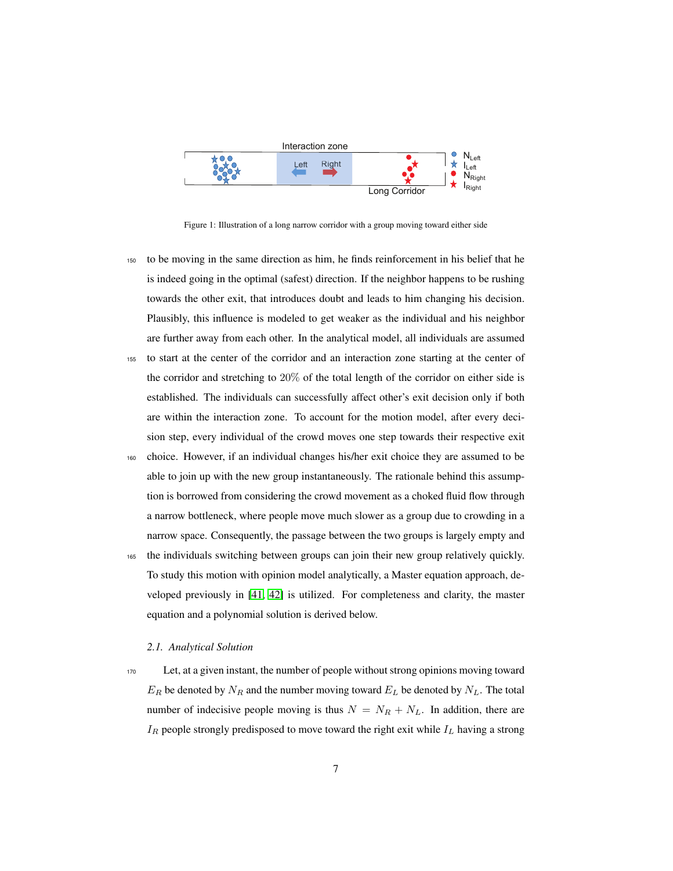

Figure 1: Illustration of a long narrow corridor with a group moving toward either side

- <sup>150</sup> to be moving in the same direction as him, he finds reinforcement in his belief that he is indeed going in the optimal (safest) direction. If the neighbor happens to be rushing towards the other exit, that introduces doubt and leads to him changing his decision. Plausibly, this influence is modeled to get weaker as the individual and his neighbor are further away from each other. In the analytical model, all individuals are assumed <sup>155</sup> to start at the center of the corridor and an interaction zone starting at the center of the corridor and stretching to 20% of the total length of the corridor on either side is established. The individuals can successfully affect other's exit decision only if both are within the interaction zone. To account for the motion model, after every deci-
- <sup>160</sup> choice. However, if an individual changes his/her exit choice they are assumed to be able to join up with the new group instantaneously. The rationale behind this assumption is borrowed from considering the crowd movement as a choked fluid flow through a narrow bottleneck, where people move much slower as a group due to crowding in a narrow space. Consequently, the passage between the two groups is largely empty and

<span id="page-7-1"></span>sion step, every individual of the crowd moves one step towards their respective exit

<span id="page-7-0"></span><sup>165</sup> the individuals switching between groups can join their new group relatively quickly. To study this motion with opinion model analytically, a Master equation approach, developed previously in [\[41,](#page-25-9) [42\]](#page-25-10) is utilized. For completeness and clarity, the master equation and a polynomial solution is derived below.

#### *2.1. Analytical Solution*

<sup>170</sup> Let, at a given instant, the number of people without strong opinions moving toward  $E_R$  be denoted by  $N_R$  and the number moving toward  $E_L$  be denoted by  $N_L$ . The total number of indecisive people moving is thus  $N = N_R + N_L$ . In addition, there are  $I_R$  people strongly predisposed to move toward the right exit while  $I_L$  having a strong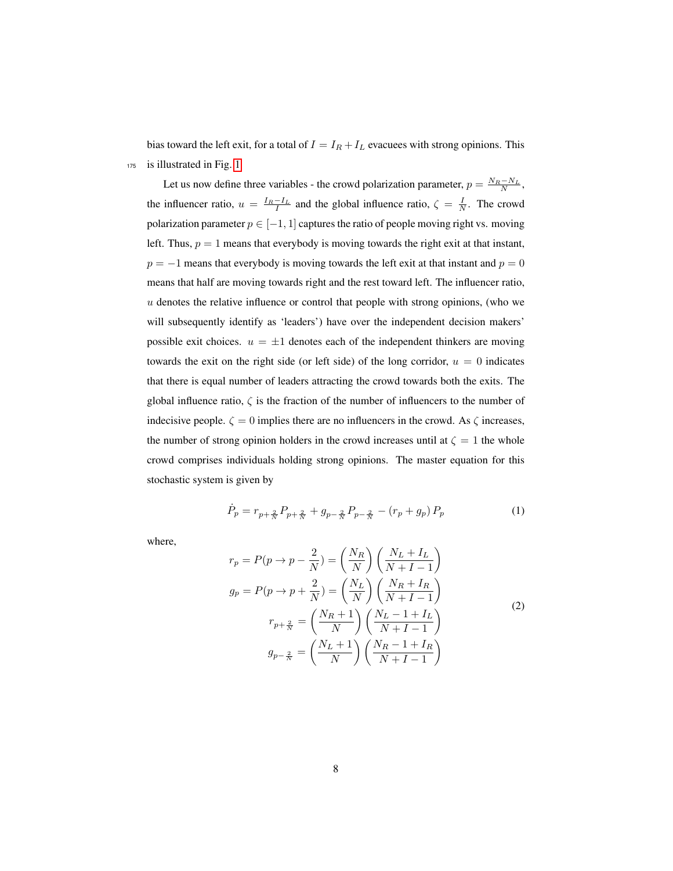bias toward the left exit, for a total of  $I = I_R + I_L$  evacuees with strong opinions. This <sup>175</sup> is illustrated in Fig. [1](#page-6-0)

<span id="page-8-0"></span>Let us now define three variables - the crowd polarization parameter,  $p = \frac{N_R - N_L}{N}$ , the influencer ratio,  $u = \frac{I_R - I_L}{I}$  and the global influence ratio,  $\zeta = \frac{I}{N}$ . The crowd polarization parameter  $p \in [-1, 1]$  captures the ratio of people moving right vs. moving left. Thus,  $p = 1$  means that everybody is moving towards the right exit at that instant,  $p = -1$  means that everybody is moving towards the left exit at that instant and  $p = 0$ means that half are moving towards right and the rest toward left. The influencer ratio,  $u$  denotes the relative influence or control that people with strong opinions, (who we will subsequently identify as 'leaders') have over the independent decision makers' possible exit choices.  $u = \pm 1$  denotes each of the independent thinkers are moving towards the exit on the right side (or left side) of the long corridor,  $u = 0$  indicates that there is equal number of leaders attracting the crowd towards both the exits. The global influence ratio,  $\zeta$  is the fraction of the number of influencers to the number of indecisive people.  $\zeta = 0$  implies there are no influencers in the crowd. As  $\zeta$  increases, the number of strong opinion holders in the crowd increases until at  $\zeta = 1$  the whole crowd comprises individuals holding strong opinions. The master equation for this stochastic system is given by

<span id="page-8-5"></span><span id="page-8-4"></span>
$$
\dot{P}_p = r_{p+\frac{2}{N}} P_{p+\frac{2}{N}} + g_{p-\frac{2}{N}} P_{p-\frac{2}{N}} - (r_p + g_p) P_p \tag{1}
$$

where,

<span id="page-8-3"></span><span id="page-8-2"></span><span id="page-8-1"></span>
$$
r_p = P(p \to p - \frac{2}{N}) = \left(\frac{N_R}{N}\right) \left(\frac{N_L + I_L}{N + I - 1}\right)
$$
  
\n
$$
g_p = P(p \to p + \frac{2}{N}) = \left(\frac{N_L}{N}\right) \left(\frac{N_R + I_R}{N + I - 1}\right)
$$
  
\n
$$
r_{p + \frac{2}{N}} = \left(\frac{N_R + 1}{N}\right) \left(\frac{N_L - 1 + I_L}{N + I - 1}\right)
$$
  
\n
$$
g_{p - \frac{2}{N}} = \left(\frac{N_L + 1}{N}\right) \left(\frac{N_R - 1 + I_R}{N + I - 1}\right)
$$
\n(2)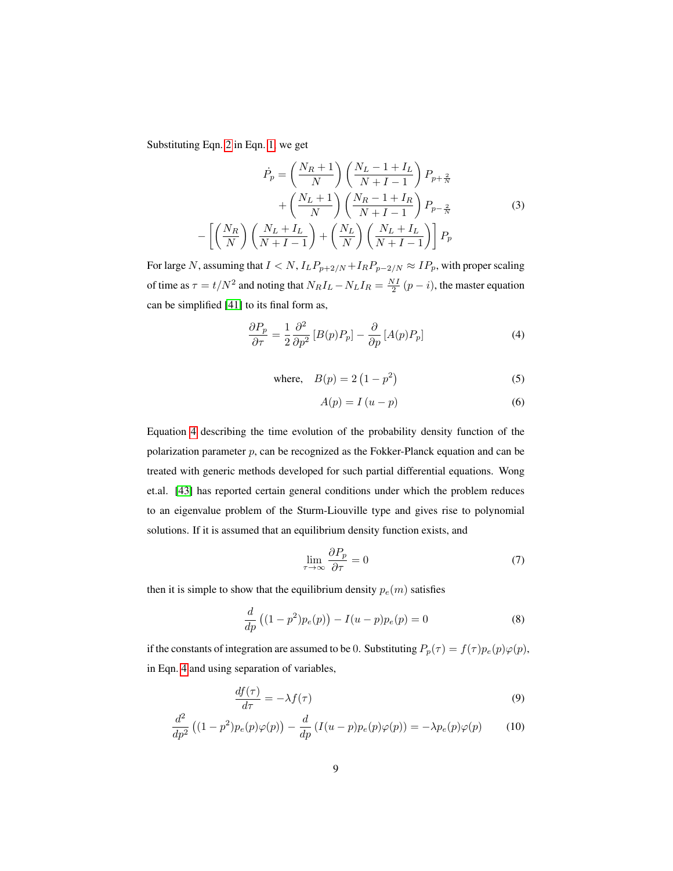Substituting Eqn. [2](#page-7-0) in Eqn. [1,](#page-7-1) we get

$$
\dot{P}_p = \left(\frac{N_R + 1}{N}\right) \left(\frac{N_L - 1 + I_L}{N + I - 1}\right) P_{p + \frac{2}{N}}
$$

$$
+ \left(\frac{N_L + 1}{N}\right) \left(\frac{N_R - 1 + I_R}{N + I - 1}\right) P_{p - \frac{2}{N}}
$$
(3)
$$
- \left[ \left(\frac{N_R}{N}\right) \left(\frac{N_L + I_L}{N + I - 1}\right) + \left(\frac{N_L}{N}\right) \left(\frac{N_L + I_L}{N + I - 1}\right) \right] P_p
$$

For large N, assuming that  $I < N$ ,  $I_L P_{p+2/N} + I_R P_{p-2/N} \approx I_P$ , with proper scaling of time as  $\tau = t/N^2$  and noting that  $N_R I_L - N_L I_R = \frac{NI}{2}(p - i)$ , the master equation can be simplified [\[41\]](#page-25-9) to its final form as,

<span id="page-9-0"></span>
$$
\frac{\partial P_p}{\partial \tau} = \frac{1}{2} \frac{\partial^2}{\partial p^2} \left[ B(p) P_p \right] - \frac{\partial}{\partial p} \left[ A(p) P_p \right] \tag{4}
$$

where, 
$$
B(p) = 2(1 - p^2)
$$
 (5)

$$
A(p) = I(u - p) \tag{6}
$$

Equation [4](#page-8-0) describing the time evolution of the probability density function of the polarization parameter  $p$ , can be recognized as the Fokker-Planck equation and can be treated with generic methods developed for such partial differential equations. Wong et.al. [\[43\]](#page-26-0) has reported certain general conditions under which the problem reduces to an eigenvalue problem of the Sturm-Liouville type and gives rise to polynomial solutions. If it is assumed that an equilibrium density function exists, and

<span id="page-9-2"></span><span id="page-9-1"></span>
$$
\lim_{\tau \to \infty} \frac{\partial P_p}{\partial \tau} = 0 \tag{7}
$$

then it is simple to show that the equilibrium density  $p_e(m)$  satisfies

$$
\frac{d}{dp}\left((1-p^2)p_e(p)\right) - I(u-p)p_e(p) = 0\tag{8}
$$

if the constants of integration are assumed to be 0. Substituting  $P_p(\tau) = f(\tau)p_e(p)\varphi(p)$ , in Eqn. [4](#page-8-0) and using separation of variables,

$$
\frac{df(\tau)}{d\tau} = -\lambda f(\tau) \tag{9}
$$

$$
\frac{d^2}{dp^2} \left( (1 - p^2) p_e(p) \varphi(p) \right) - \frac{d}{dp} \left( I(u - p) p_e(p) \varphi(p) \right) = -\lambda p_e(p) \varphi(p) \tag{10}
$$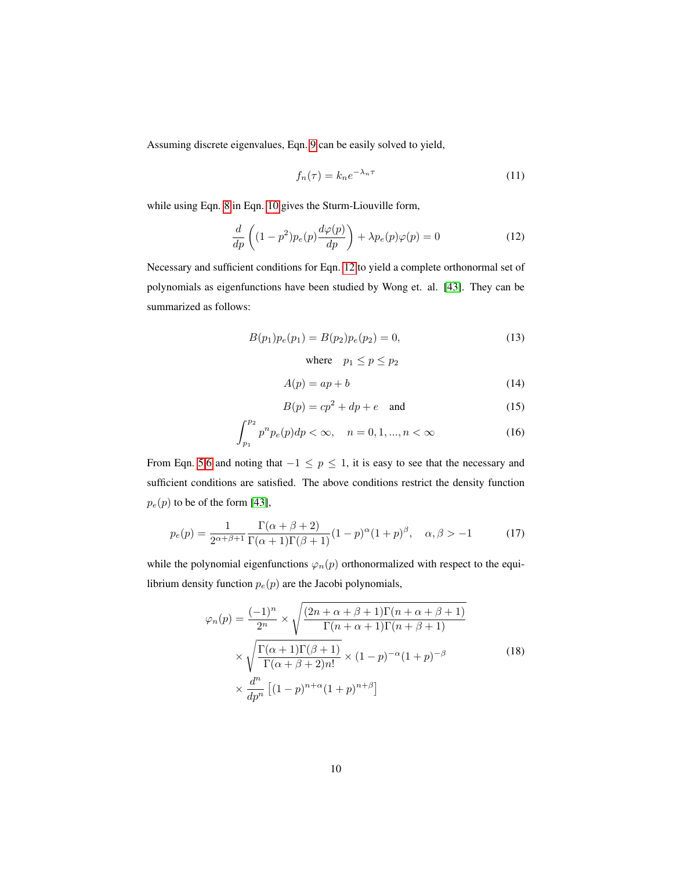Assuming discrete eigenvalues, Eqn. [9](#page-8-1) can be easily solved to yield,

<span id="page-10-0"></span>
$$
f_n(\tau) = k_n e^{-\lambda_n \tau} \tag{11}
$$

while using Eqn. [8](#page-8-2) in Eqn. [10](#page-8-3) gives the Sturm-Liouville form,

$$
\frac{d}{dp}\left((1-p^2)p_e(p)\frac{d\varphi(p)}{dp}\right) + \lambda p_e(p)\varphi(p) = 0\tag{12}
$$

Necessary and sufficient conditions for Eqn. [12](#page-9-0) to yield a complete orthonormal set of polynomials as eigenfunctions have been studied by Wong et. al. [\[43\]](#page-26-0). They can be summarized as follows:

$$
B(p_1)p_e(p_1) = B(p_2)p_e(p_2) = 0,
$$
\n(13)

where  $p_1 \leq p \leq p_2$ 

$$
A(p) = ap + b \tag{14}
$$

$$
B(p) = cp^2 + dp + e \quad \text{and} \tag{15}
$$

$$
\int_{p_1}^{p_2} p^n p_e(p) dp < \infty, \quad n = 0, 1, \dots, n < \infty \tag{16}
$$

From Eqn. [5](#page-8-4)[,6](#page-8-5) and noting that  $-1 \le p \le 1$ , it is easy to see that the necessary and sufficient conditions are satisfied. The above conditions restrict the density function  $p_e(p)$  to be of the form [\[43\]](#page-26-0),

$$
p_e(p) = \frac{1}{2^{\alpha+\beta+1}} \frac{\Gamma(\alpha+\beta+2)}{\Gamma(\alpha+1)\Gamma(\beta+1)} (1-p)^{\alpha} (1+p)^{\beta}, \quad \alpha, \beta > -1
$$
 (17)

while the polynomial eigenfunctions  $\varphi_n(p)$  orthonormalized with respect to the equilibrium density function  $p_e(p)$  are the Jacobi polynomials,

$$
\varphi_n(p) = \frac{(-1)^n}{2^n} \times \sqrt{\frac{(2n+\alpha+\beta+1)\Gamma(n+\alpha+\beta+1)}{\Gamma(n+\alpha+1)\Gamma(n+\beta+1)}}
$$

$$
\times \sqrt{\frac{\Gamma(\alpha+1)\Gamma(\beta+1)}{\Gamma(\alpha+\beta+2)n!}} \times (1-p)^{-\alpha}(1+p)^{-\beta}
$$
(18)
$$
\times \frac{d^n}{dp^n} [(1-p)^{n+\alpha}(1+p)^{n+\beta}]
$$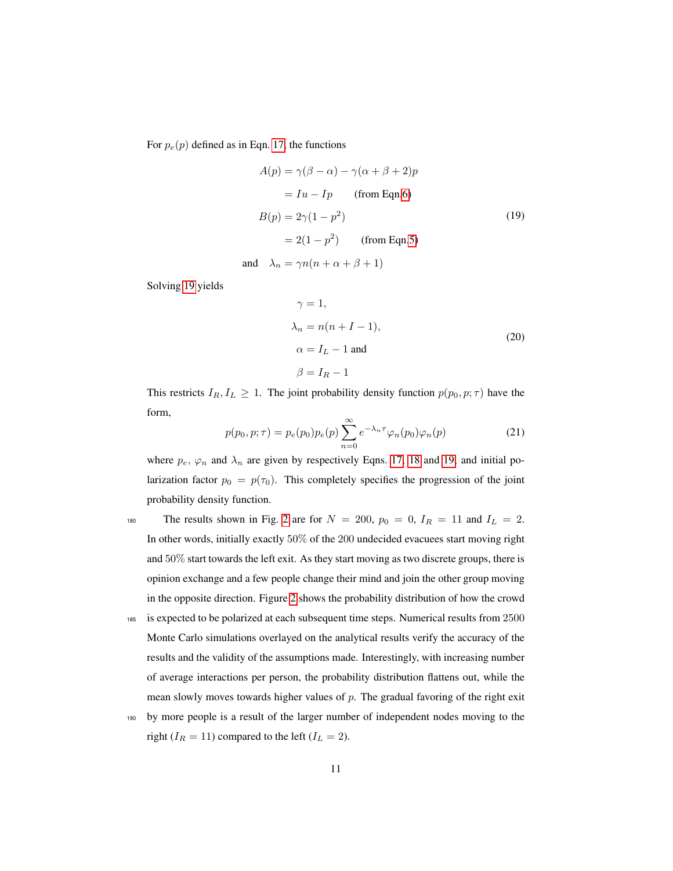For  $p_e(p)$  defined as in Eqn. [17,](#page-9-1) the functions

$$
A(p) = \gamma(\beta - \alpha) - \gamma(\alpha + \beta + 2)p
$$
  
= Iu - Ip (from Eqn.6)  

$$
B(p) = 2\gamma(1 - p^2)
$$
  
= 2(1 - p<sup>2</sup>) (from Eqn.5)  
and 
$$
\lambda_n = \gamma n(n + \alpha + \beta + 1)
$$
 (19)

<span id="page-11-0"></span>Solving [19](#page-10-0) yields

$$
\gamma = 1,
$$
  
\n
$$
\lambda_n = n(n + I - 1),
$$
  
\n
$$
\alpha = I_L - 1 \text{ and}
$$
  
\n
$$
\beta = I_R - 1
$$
\n(20)

This restricts  $I_R, I_L \geq 1$ . The joint probability density function  $p(p_0, p; \tau)$  have the form,

$$
p(p_0, p; \tau) = p_e(p_0)p_e(p)\sum_{n=0}^{\infty} e^{-\lambda_n \tau} \varphi_n(p_0)\varphi_n(p)
$$
 (21)

where  $p_e$ ,  $\varphi_n$  and  $\lambda_n$  are given by respectively Eqns. [17,](#page-9-1) [18](#page-9-2) and [19,](#page-10-0) and initial polarization factor  $p_0 = p(\tau_0)$ . This completely specifies the progression of the joint probability density function.

180 The results shown in Fig. [2](#page-11-0) are for  $N = 200$ ,  $p_0 = 0$ ,  $I_R = 11$  and  $I_L = 2$ . In other words, initially exactly 50% of the 200 undecided evacuees start moving right and 50% start towards the left exit. As they start moving as two discrete groups, there is opinion exchange and a few people change their mind and join the other group moving in the opposite direction. Figure [2](#page-11-0) shows the probability distribution of how the crowd

- <sup>185</sup> is expected to be polarized at each subsequent time steps. Numerical results from 2500 Monte Carlo simulations overlayed on the analytical results verify the accuracy of the results and the validity of the assumptions made. Interestingly, with increasing number of average interactions per person, the probability distribution flattens out, while the mean slowly moves towards higher values of  $p$ . The gradual favoring of the right exit
- <sup>190</sup> by more people is a result of the larger number of independent nodes moving to the right ( $I_R = 11$ ) compared to the left ( $I_L = 2$ ).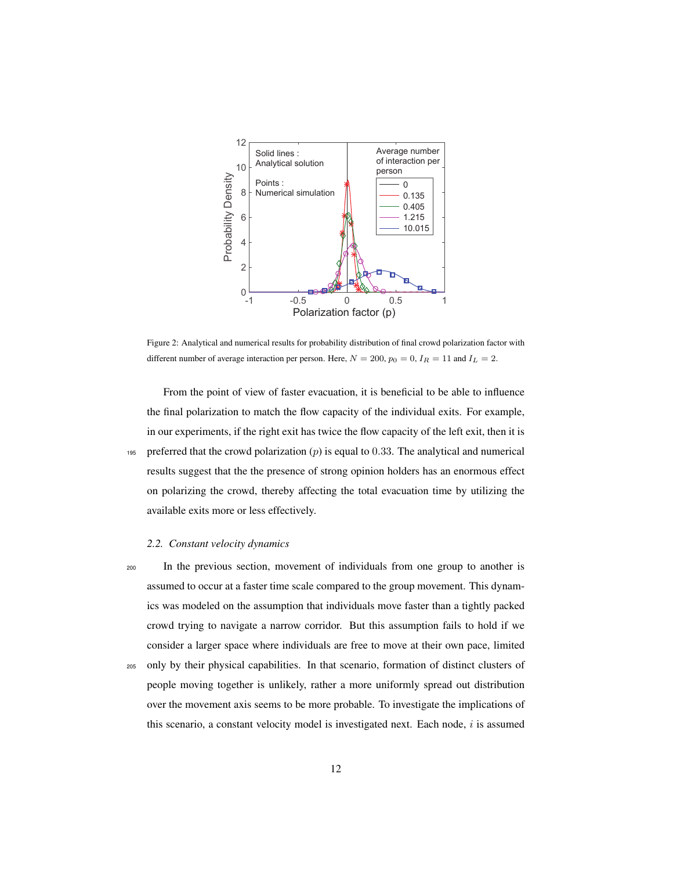

Figure 2: Analytical and numerical results for probability distribution of final crowd polarization factor with different number of average interaction per person. Here,  $N = 200$ ,  $p_0 = 0$ ,  $I_R = 11$  and  $I_L = 2$ .

From the point of view of faster evacuation, it is beneficial to be able to influence the final polarization to match the flow capacity of the individual exits. For example, in our experiments, if the right exit has twice the flow capacity of the left exit, then it is 195 preferred that the crowd polarization  $(p)$  is equal to 0.33. The analytical and numerical results suggest that the the presence of strong opinion holders has an enormous effect on polarizing the crowd, thereby affecting the total evacuation time by utilizing the available exits more or less effectively.

#### *2.2. Constant velocity dynamics*

<sup>200</sup> In the previous section, movement of individuals from one group to another is assumed to occur at a faster time scale compared to the group movement. This dynamics was modeled on the assumption that individuals move faster than a tightly packed crowd trying to navigate a narrow corridor. But this assumption fails to hold if we consider a larger space where individuals are free to move at their own pace, limited <sup>205</sup> only by their physical capabilities. In that scenario, formation of distinct clusters of people moving together is unlikely, rather a more uniformly spread out distribution over the movement axis seems to be more probable. To investigate the implications of this scenario, a constant velocity model is investigated next. Each node,  $i$  is assumed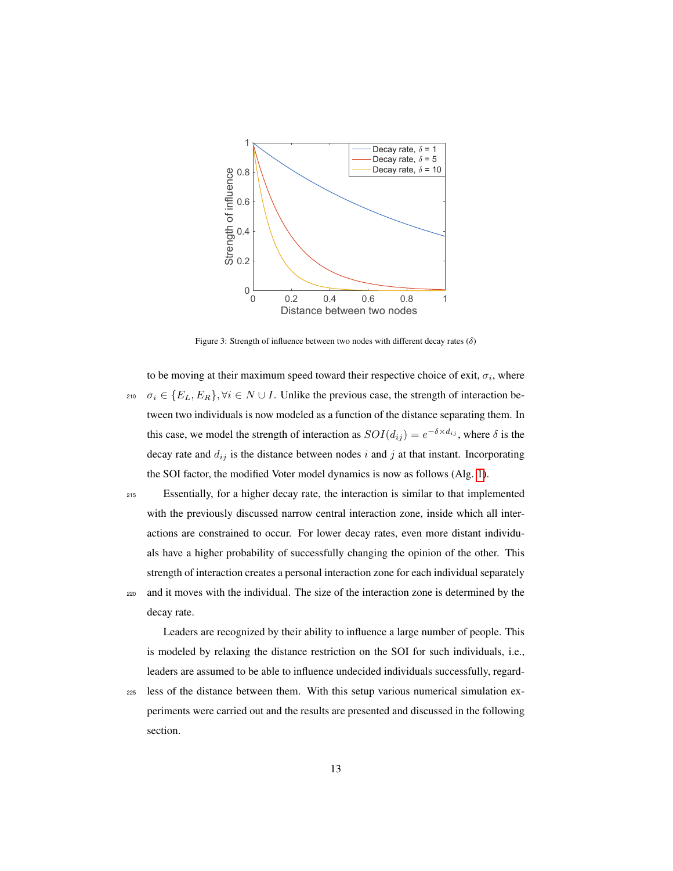

Figure 3: Strength of influence between two nodes with different decay rates  $(\delta)$ 

<span id="page-13-0"></span>to be moving at their maximum speed toward their respective choice of exit,  $\sigma_i$ , where 210  $\sigma_i \in \{E_L, E_R\}, \forall i \in N \cup I$ . Unlike the previous case, the strength of interaction between two individuals is now modeled as a function of the distance separating them. In this case, we model the strength of interaction as  $SOI(d_{ij}) = e^{-\delta \times d_{ij}}$ , where  $\delta$  is the decay rate and  $d_{ij}$  is the distance between nodes i and j at that instant. Incorporating the SOI factor, the modified Voter model dynamics is now as follows (Alg. [1\)](#page-13-0).

<sup>215</sup> Essentially, for a higher decay rate, the interaction is similar to that implemented with the previously discussed narrow central interaction zone, inside which all interactions are constrained to occur. For lower decay rates, even more distant individuals have a higher probability of successfully changing the opinion of the other. This strength of interaction creates a personal interaction zone for each individual separately <sup>220</sup> and it moves with the individual. The size of the interaction zone is determined by the decay rate.

Leaders are recognized by their ability to influence a large number of people. This is modeled by relaxing the distance restriction on the SOI for such individuals, i.e., leaders are assumed to be able to influence undecided individuals successfully, regard-

<span id="page-13-1"></span><sup>225</sup> less of the distance between them. With this setup various numerical simulation experiments were carried out and the results are presented and discussed in the following section.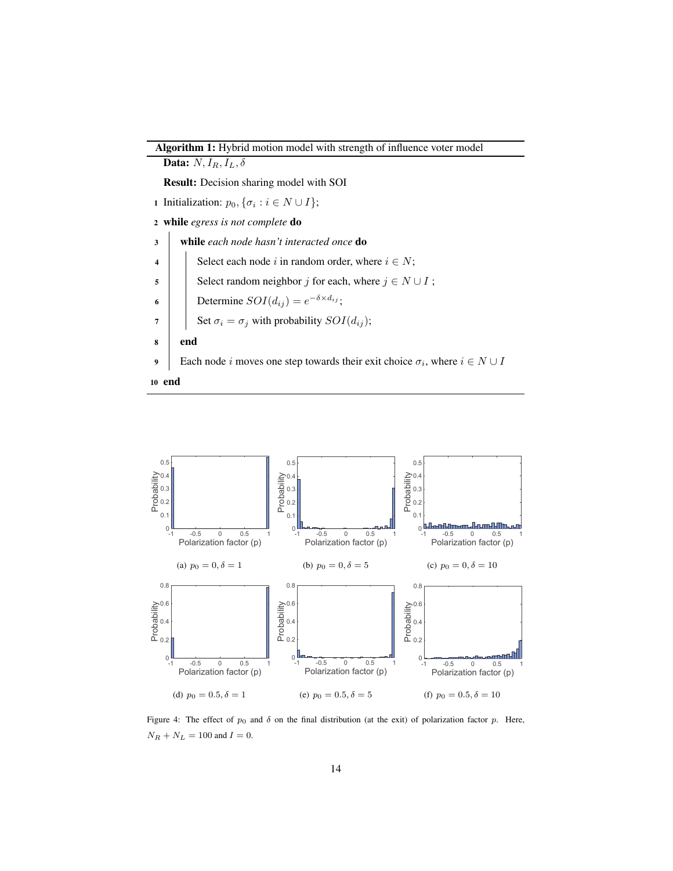



Figure 4: The effect of  $p_0$  and  $\delta$  on the final distribution (at the exit) of polarization factor p. Here,  $N_R + N_L = 100$  and  $I = 0.$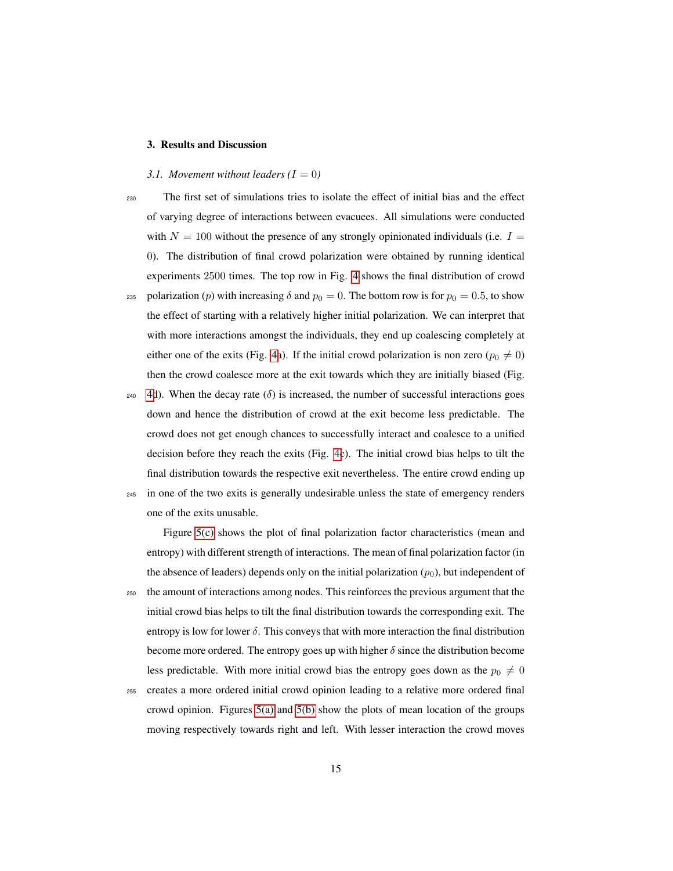#### 3. Results and Discussion

#### *3.1. Movement without leaders*  $(I = 0)$

- <sup>230</sup> The first set of simulations tries to isolate the effect of initial bias and the effect of varying degree of interactions between evacuees. All simulations were conducted with  $N = 100$  without the presence of any strongly opinionated individuals (i.e.  $I =$ 0). The distribution of final crowd polarization were obtained by running identical experiments 2500 times. The top row in Fig. [4](#page-13-1) shows the final distribution of crowd 235 polarization (p) with increasing  $\delta$  and  $p_0 = 0$ . The bottom row is for  $p_0 = 0.5$ , to show the effect of starting with a relatively higher initial polarization. We can interpret that with more interactions amongst the individuals, they end up coalescing completely at either one of the exits (Fig. [4a](#page-13-1)). If the initial crowd polarization is non zero ( $p_0 \neq 0$ ) then the crowd coalesce more at the exit towards which they are initially biased (Fig.
- <span id="page-15-1"></span>240 [4d](#page-13-1)). When the decay rate  $(\delta)$  is increased, the number of successful interactions goes down and hence the distribution of crowd at the exit become less predictable. The crowd does not get enough chances to successfully interact and coalesce to a unified decision before they reach the exits (Fig. [4c](#page-13-1)). The initial crowd bias helps to tilt the final distribution towards the respective exit nevertheless. The entire crowd ending up <sup>245</sup> in one of the two exits is generally undesirable unless the state of emergency renders
	- one of the exits unusable.

<span id="page-15-2"></span>Figure [5\(c\)](#page-15-0) shows the plot of final polarization factor characteristics (mean and entropy) with different strength of interactions. The mean of final polarization factor (in the absence of leaders) depends only on the initial polarization  $(p_0)$ , but independent of <sup>250</sup> the amount of interactions among nodes. This reinforces the previous argument that the initial crowd bias helps to tilt the final distribution towards the corresponding exit. The entropy is low for lower  $\delta$ . This conveys that with more interaction the final distribution

<span id="page-15-0"></span>become more ordered. The entropy goes up with higher  $\delta$  since the distribution become less predictable. With more initial crowd bias the entropy goes down as the  $p_0 \neq 0$ 

<sup>255</sup> creates a more ordered initial crowd opinion leading to a relative more ordered final crowd opinion. Figures  $5(a)$  and  $5(b)$  show the plots of mean location of the groups moving respectively towards right and left. With lesser interaction the crowd moves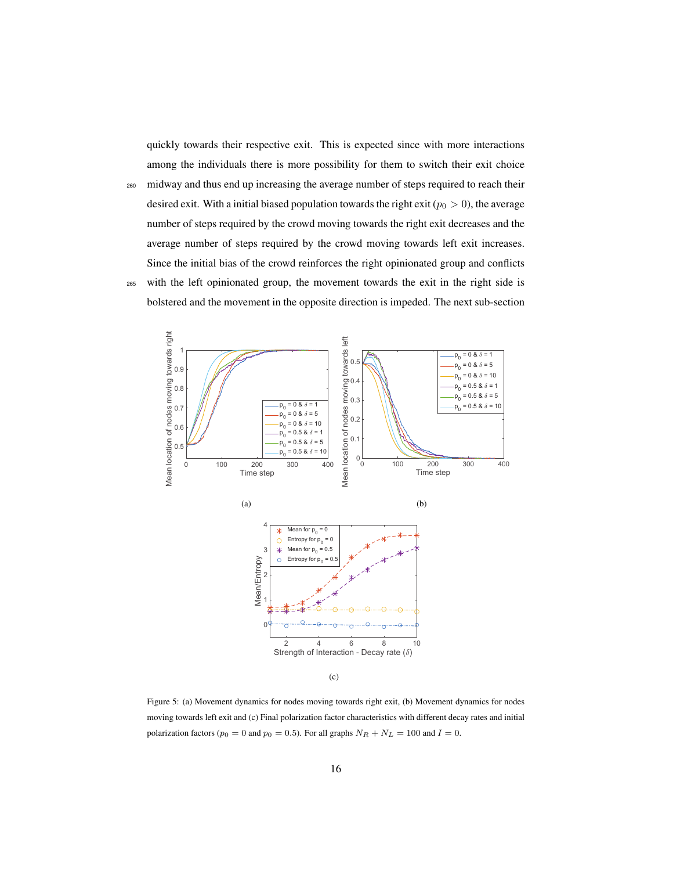quickly towards their respective exit. This is expected since with more interactions among the individuals there is more possibility for them to switch their exit choice

<sup>260</sup> midway and thus end up increasing the average number of steps required to reach their desired exit. With a initial biased population towards the right exit ( $p_0 > 0$ ), the average number of steps required by the crowd moving towards the right exit decreases and the average number of steps required by the crowd moving towards left exit increases. Since the initial bias of the crowd reinforces the right opinionated group and conflicts <sup>265</sup> with the left opinionated group, the movement towards the exit in the right side is

bolstered and the movement in the opposite direction is impeded. The next sub-section



(c)

<span id="page-16-0"></span>Figure 5: (a) Movement dynamics for nodes moving towards right exit, (b) Movement dynamics for nodes moving towards left exit and (c) Final polarization factor characteristics with different decay rates and initial polarization factors ( $p_0 = 0$  and  $p_0 = 0.5$ ). For all graphs  $N_R + N_L = 100$  and  $I = 0$ .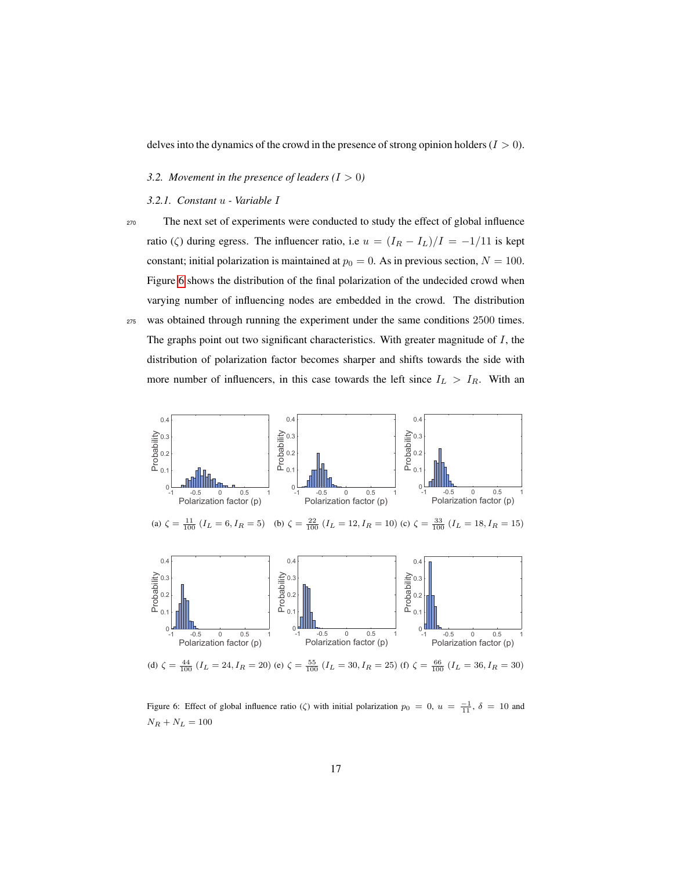delves into the dynamics of the crowd in the presence of strong opinion holders  $(I > 0)$ .

- *3.2. Movement in the presence of leaders*  $(I > 0)$
- *3.2.1. Constant* u  *Variable* I

<span id="page-17-1"></span>

<sup>270</sup> The next set of experiments were conducted to study the effect of global influence ratio (ζ) during egress. The influencer ratio, i.e  $u = (I_R - I_L)/I = -1/11$  is kept constant; initial polarization is maintained at  $p_0 = 0$ . As in previous section,  $N = 100$ . Figure [6](#page-16-0) shows the distribution of the final polarization of the undecided crowd when varying number of influencing nodes are embedded in the crowd. The distribution <sup>275</sup> was obtained through running the experiment under the same conditions 2500 times. The graphs point out two significant characteristics. With greater magnitude of  $I$ , the distribution of polarization factor becomes sharper and shifts towards the side with more number of influencers, in this case towards the left since  $I_L > I_R$ . With an

<span id="page-17-2"></span>



<span id="page-17-0"></span>(d)  $\zeta = \frac{44}{100}$   $(I_L = 24, I_R = 20)$  (e)  $\zeta = \frac{55}{100}$   $(I_L = 30, I_R = 25)$  (f)  $\zeta = \frac{66}{100}$   $(I_L = 36, I_R = 30)$ 

Figure 6: Effect of global influence ratio ( $\zeta$ ) with initial polarization  $p_0 = 0$ ,  $u = \frac{-1}{11}$ ,  $\delta = 10$  and  $N_R + N_L = 100$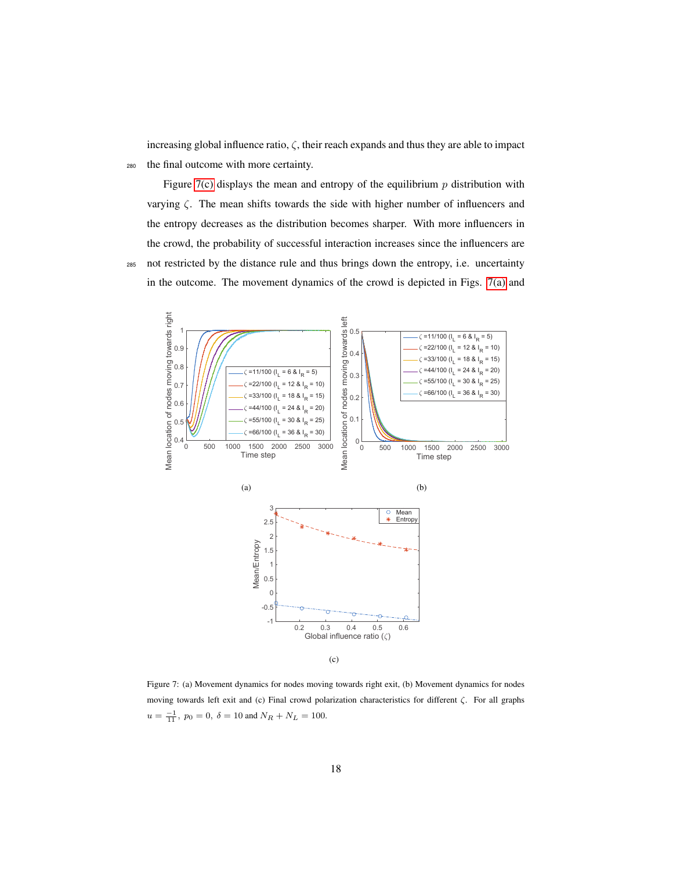increasing global influence ratio,  $\zeta$ , their reach expands and thus they are able to impact <sup>280</sup> the final outcome with more certainty.

Figure [7\(c\)](#page-17-0) displays the mean and entropy of the equilibrium  $p$  distribution with varying  $\zeta$ . The mean shifts towards the side with higher number of influencers and the entropy decreases as the distribution becomes sharper. With more influencers in the crowd, the probability of successful interaction increases since the influencers are <sup>285</sup> not restricted by the distance rule and thus brings down the entropy, i.e. uncertainty in the outcome. The movement dynamics of the crowd is depicted in Figs. [7\(a\)](#page-17-1) and



(c)

<span id="page-18-0"></span>Figure 7: (a) Movement dynamics for nodes moving towards right exit, (b) Movement dynamics for nodes moving towards left exit and (c) Final crowd polarization characteristics for different ζ. For all graphs  $u = \frac{-1}{11}$ ,  $p_0 = 0$ ,  $\delta = 10$  and  $N_R + N_L = 100$ .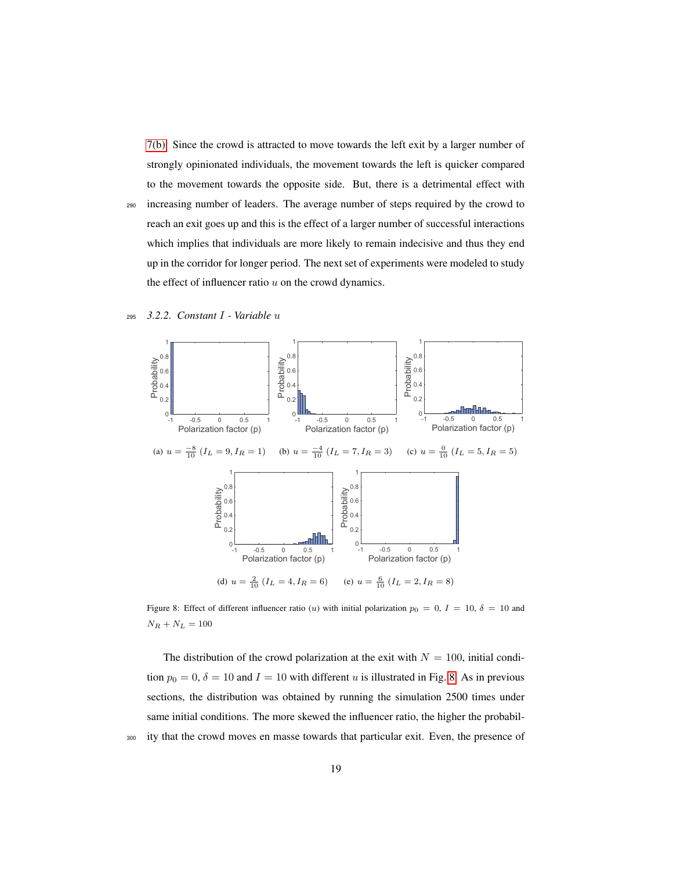[7\(b\).](#page-17-2) Since the crowd is attracted to move towards the left exit by a larger number of strongly opinionated individuals, the movement towards the left is quicker compared to the movement towards the opposite side. But, there is a detrimental effect with

<sup>290</sup> increasing number of leaders. The average number of steps required by the crowd to reach an exit goes up and this is the effect of a larger number of successful interactions which implies that individuals are more likely to remain indecisive and thus they end up in the corridor for longer period. The next set of experiments were modeled to study the effect of influencer ratio  $u$  on the crowd dynamics.



<span id="page-19-1"></span>

<span id="page-19-2"></span><span id="page-19-0"></span>Figure 8: Effect of different influencer ratio (u) with initial polarization  $p_0 = 0$ ,  $I = 10$ ,  $\delta = 10$  and  $N_R+N_L=100\,$ 

The distribution of the crowd polarization at the exit with  $N = 100$ , initial condition  $p_0 = 0$ ,  $\delta = 10$  and  $I = 10$  with different u is illustrated in Fig. [8.](#page-18-0) As in previous sections, the distribution was obtained by running the simulation 2500 times under same initial conditions. The more skewed the influencer ratio, the higher the probabil-<sup>300</sup> ity that the crowd moves en masse towards that particular exit. Even, the presence of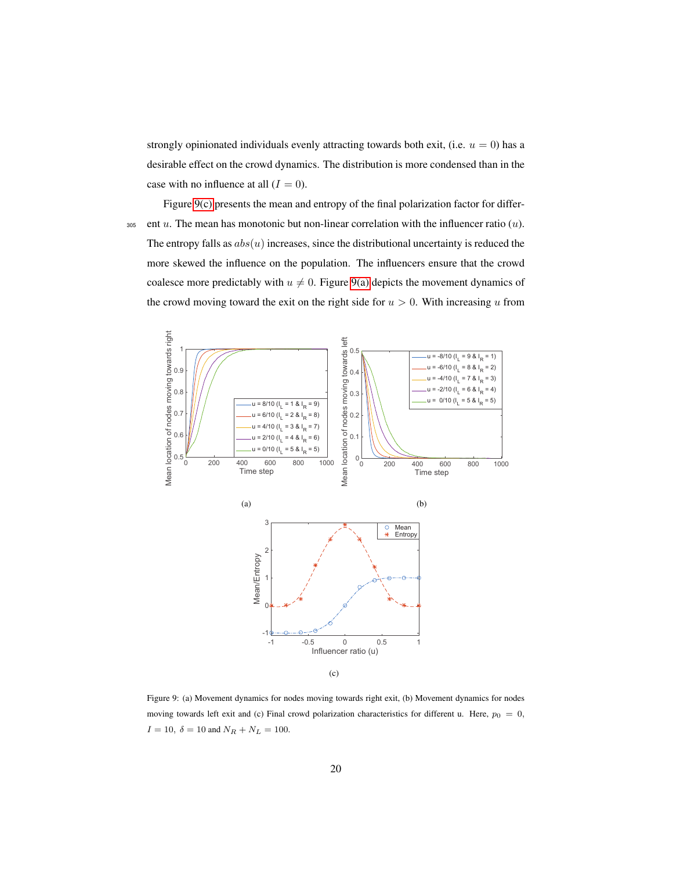strongly opinionated individuals evenly attracting towards both exit, (i.e.  $u = 0$ ) has a desirable effect on the crowd dynamics. The distribution is more condensed than in the case with no influence at all  $(I = 0)$ .

Figure [9\(c\)](#page-19-0) presents the mean and entropy of the final polarization factor for differ-305 ent u. The mean has monotonic but non-linear correlation with the influencer ratio  $(u)$ . The entropy falls as  $abs(u)$  increases, since the distributional uncertainty is reduced the more skewed the influence on the population. The influencers ensure that the crowd coalesce more predictably with  $u \neq 0$ . Figure [9\(a\)](#page-19-1) depicts the movement dynamics of the crowd moving toward the exit on the right side for  $u > 0$ . With increasing u from



(c)

Figure 9: (a) Movement dynamics for nodes moving towards right exit, (b) Movement dynamics for nodes moving towards left exit and (c) Final crowd polarization characteristics for different u. Here,  $p_0 = 0$ ,  $I = 10, \delta = 10$  and  $N_R + N_L = 100$ .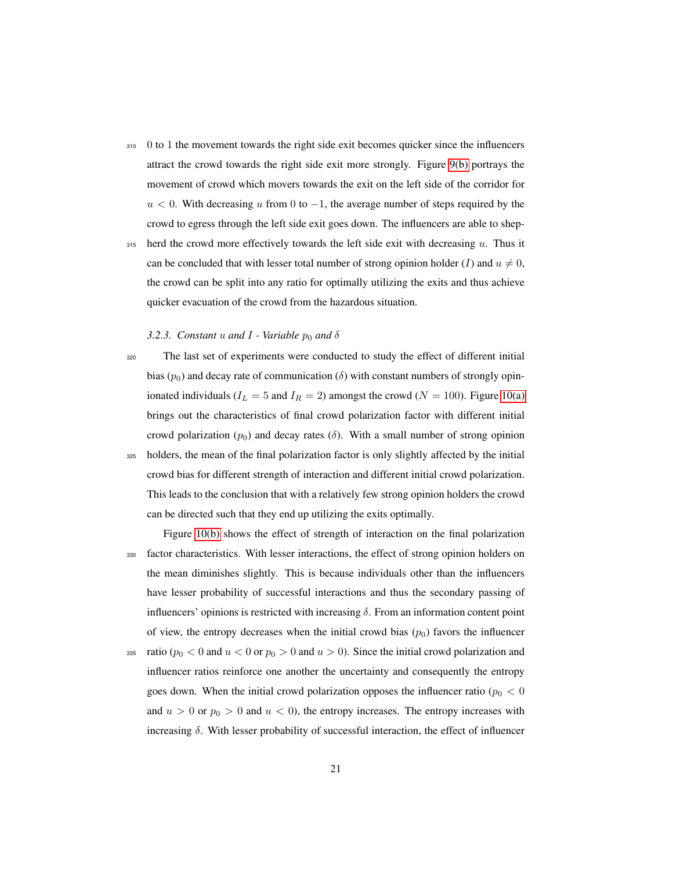- <span id="page-21-1"></span><sup>310</sup> 0 to 1 the movement towards the right side exit becomes quicker since the influencers attract the crowd towards the right side exit more strongly. Figure [9\(b\)](#page-19-2) portrays the movement of crowd which movers towards the exit on the left side of the corridor for  $u < 0$ . With decreasing u from 0 to  $-1$ , the average number of steps required by the crowd to egress through the left side exit goes down. The influencers are able to shep-
- $315$  herd the crowd more effectively towards the left side exit with decreasing u. Thus it can be concluded that with lesser total number of strong opinion holder (I) and  $u \neq 0$ , the crowd can be split into any ratio for optimally utilizing the exits and thus achieve quicker evacuation of the crowd from the hazardous situation.

#### <span id="page-21-2"></span>*3.2.3. Constant*  $u$  *and*  $I$  *- Variable*  $p_0$  *and*  $\delta$

<sup>320</sup> The last set of experiments were conducted to study the effect of different initial bias ( $p_0$ ) and decay rate of communication ( $\delta$ ) with constant numbers of strongly opinionated individuals ( $I_L = 5$  and  $I_R = 2$ ) amongst the crowd ( $N = 100$ ). Figure [10\(a\)](#page-21-1) brings out the characteristics of final crowd polarization factor with different initial crowd polarization  $(p_0)$  and decay rates ( $\delta$ ). With a small number of strong opinion <sup>325</sup> holders, the mean of the final polarization factor is only slightly affected by the initial crowd bias for different strength of interaction and different initial crowd polarization. This leads to the conclusion that with a relatively few strong opinion holders the crowd can be directed such that they end up utilizing the exits optimally.

Figure [10\(b\)](#page-21-2) shows the effect of strength of interaction on the final polarization <sup>330</sup> factor characteristics. With lesser interactions, the effect of strong opinion holders on the mean diminishes slightly. This is because individuals other than the influencers have lesser probability of successful interactions and thus the secondary passing of influencers' opinions is restricted with increasing  $\delta$ . From an information content point of view, the entropy decreases when the initial crowd bias  $(p_0)$  favors the influencer

<span id="page-21-0"></span>335 ratio ( $p_0 < 0$  and  $u < 0$  or  $p_0 > 0$  and  $u > 0$ ). Since the initial crowd polarization and influencer ratios reinforce one another the uncertainty and consequently the entropy goes down. When the initial crowd polarization opposes the influencer ratio ( $p_0 < 0$ and  $u > 0$  or  $p_0 > 0$  and  $u < 0$ ), the entropy increases. The entropy increases with increasing  $\delta$ . With lesser probability of successful interaction, the effect of influencer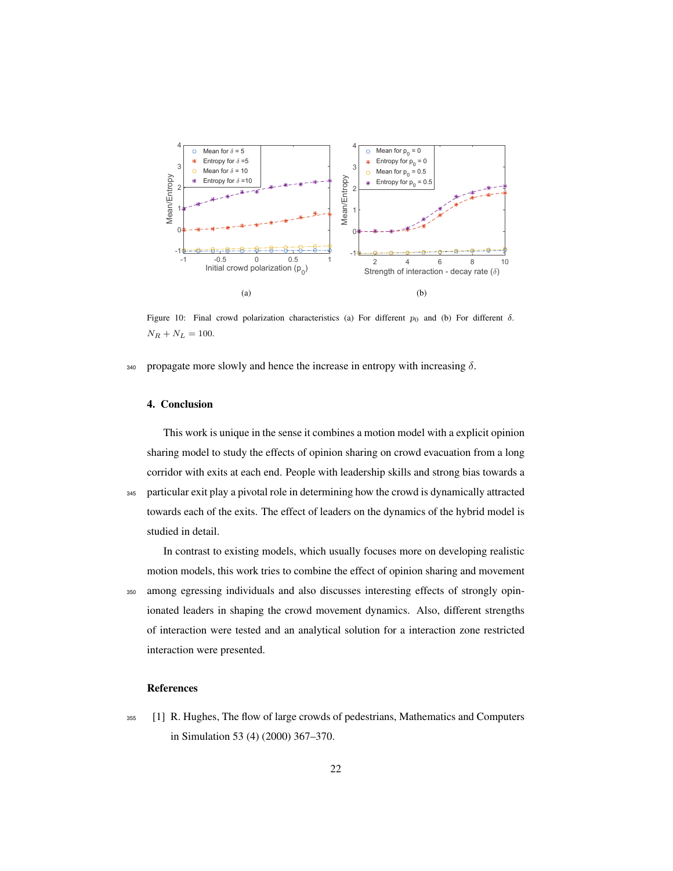<span id="page-22-1"></span><span id="page-22-0"></span>

<span id="page-22-4"></span><span id="page-22-3"></span><span id="page-22-2"></span>Figure 10: Final crowd polarization characteristics (a) For different  $p_0$  and (b) For different  $\delta$ .  $N_R + N_L = 100.$ 

340 propagate more slowly and hence the increase in entropy with increasing  $\delta$ .

#### <span id="page-22-5"></span>4. Conclusion

<span id="page-22-6"></span>This work is unique in the sense it combines a motion model with a explicit opinion sharing model to study the effects of opinion sharing on crowd evacuation from a long corridor with exits at each end. People with leadership skills and strong bias towards a <sup>345</sup> particular exit play a pivotal role in determining how the crowd is dynamically attracted towards each of the exits. The effect of leaders on the dynamics of the hybrid model is studied in detail.

<span id="page-22-8"></span><span id="page-22-7"></span>In contrast to existing models, which usually focuses more on developing realistic motion models, this work tries to combine the effect of opinion sharing and movement <sup>350</sup> among egressing individuals and also discusses interesting effects of strongly opinionated leaders in shaping the crowd movement dynamics. Also, different strengths of interaction were tested and an analytical solution for a interaction zone restricted interaction were presented.

#### <span id="page-22-9"></span>References

<sup>355</sup> [1] R. Hughes, The flow of large crowds of pedestrians, Mathematics and Computers in Simulation 53 (4) (2000) 367–370.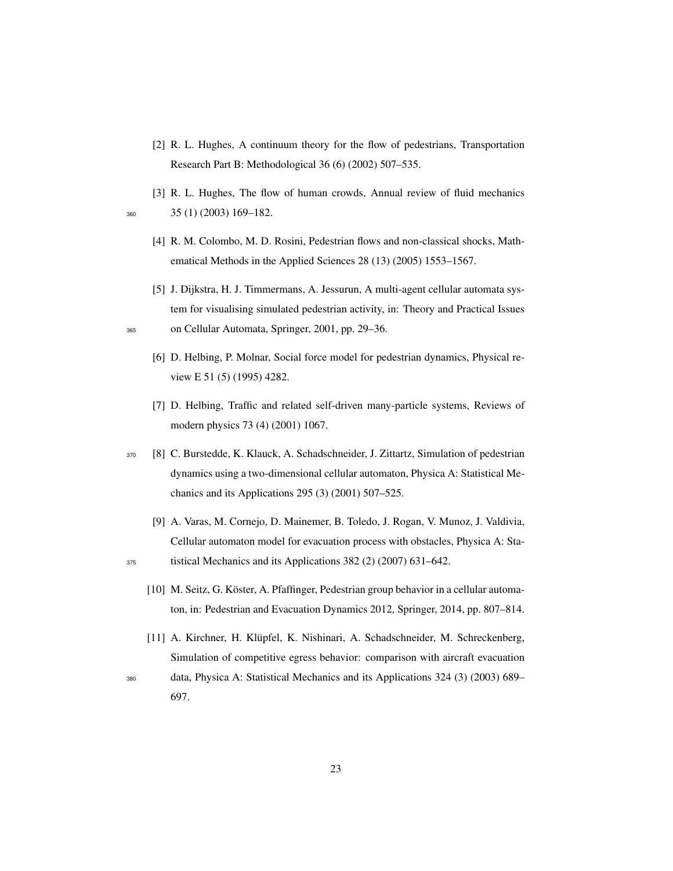- <span id="page-23-0"></span>[2] R. L. Hughes, A continuum theory for the flow of pedestrians, Transportation Research Part B: Methodological 36 (6) (2002) 507–535.
- <span id="page-23-1"></span>[3] R. L. Hughes, The flow of human crowds, Annual review of fluid mechanics <sup>360</sup> 35 (1) (2003) 169–182.
- 
- [4] R. M. Colombo, M. D. Rosini, Pedestrian flows and non-classical shocks, Mathematical Methods in the Applied Sciences 28 (13) (2005) 1553–1567.
- <span id="page-23-3"></span><span id="page-23-2"></span>[5] J. Dijkstra, H. J. Timmermans, A. Jessurun, A multi-agent cellular automata system for visualising simulated pedestrian activity, in: Theory and Practical Issues <sup>365</sup> on Cellular Automata, Springer, 2001, pp. 29–36.
	- [6] D. Helbing, P. Molnar, Social force model for pedestrian dynamics, Physical review E 51 (5) (1995) 4282.
	- [7] D. Helbing, Traffic and related self-driven many-particle systems, Reviews of modern physics 73 (4) (2001) 1067.
- <span id="page-23-5"></span><span id="page-23-4"></span><sup>370</sup> [8] C. Burstedde, K. Klauck, A. Schadschneider, J. Zittartz, Simulation of pedestrian dynamics using a two-dimensional cellular automaton, Physica A: Statistical Mechanics and its Applications 295 (3) (2001) 507–525.
- <span id="page-23-7"></span><span id="page-23-6"></span>[9] A. Varas, M. Cornejo, D. Mainemer, B. Toledo, J. Rogan, V. Munoz, J. Valdivia, Cellular automaton model for evacuation process with obstacles, Physica A: Sta-<sup>375</sup> tistical Mechanics and its Applications 382 (2) (2007) 631–642.
	- [10] M. Seitz, G. Köster, A. Pfaffinger, Pedestrian group behavior in a cellular automaton, in: Pedestrian and Evacuation Dynamics 2012, Springer, 2014, pp. 807–814.
	- [11] A. Kirchner, H. Klüpfel, K. Nishinari, A. Schadschneider, M. Schreckenberg, Simulation of competitive egress behavior: comparison with aircraft evacuation
- <span id="page-23-9"></span>
- <span id="page-23-8"></span><sup>380</sup> data, Physica A: Statistical Mechanics and its Applications 324 (3) (2003) 689– 697.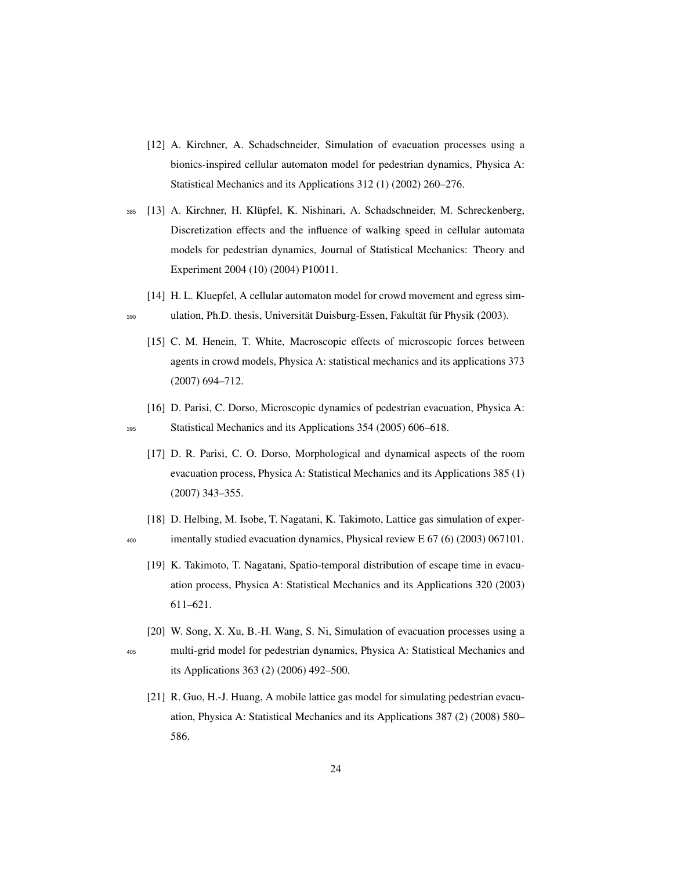- <span id="page-24-0"></span>[12] A. Kirchner, A. Schadschneider, Simulation of evacuation processes using a bionics-inspired cellular automaton model for pedestrian dynamics, Physica A: Statistical Mechanics and its Applications 312 (1) (2002) 260–276.
- <span id="page-24-1"></span>385 [13] A. Kirchner, H. Klüpfel, K. Nishinari, A. Schadschneider, M. Schreckenberg, Discretization effects and the influence of walking speed in cellular automata models for pedestrian dynamics, Journal of Statistical Mechanics: Theory and Experiment 2004 (10) (2004) P10011.
	- [14] H. L. Kluepfel, A cellular automaton model for crowd movement and egress sim-
- <span id="page-24-3"></span><span id="page-24-2"></span>390 ulation, Ph.D. thesis, Universität Duisburg-Essen, Fakultät für Physik (2003).
	- [15] C. M. Henein, T. White, Macroscopic effects of microscopic forces between agents in crowd models, Physica A: statistical mechanics and its applications 373 (2007) 694–712.
- <span id="page-24-4"></span>[16] D. Parisi, C. Dorso, Microscopic dynamics of pedestrian evacuation, Physica A: <sup>395</sup> Statistical Mechanics and its Applications 354 (2005) 606–618.
	- [17] D. R. Parisi, C. O. Dorso, Morphological and dynamical aspects of the room evacuation process, Physica A: Statistical Mechanics and its Applications 385 (1) (2007) 343–355.
- <span id="page-24-7"></span><span id="page-24-6"></span><span id="page-24-5"></span>[18] D. Helbing, M. Isobe, T. Nagatani, K. Takimoto, Lattice gas simulation of exper-<sup>400</sup> imentally studied evacuation dynamics, Physical review E 67 (6) (2003) 067101.
	- [19] K. Takimoto, T. Nagatani, Spatio-temporal distribution of escape time in evacuation process, Physica A: Statistical Mechanics and its Applications 320 (2003) 611–621.
- <span id="page-24-9"></span><span id="page-24-8"></span>[20] W. Song, X. Xu, B.-H. Wang, S. Ni, Simulation of evacuation processes using a <sup>405</sup> multi-grid model for pedestrian dynamics, Physica A: Statistical Mechanics and its Applications 363 (2) (2006) 492–500.
	- [21] R. Guo, H.-J. Huang, A mobile lattice gas model for simulating pedestrian evacuation, Physica A: Statistical Mechanics and its Applications 387 (2) (2008) 580– 586.
		- 24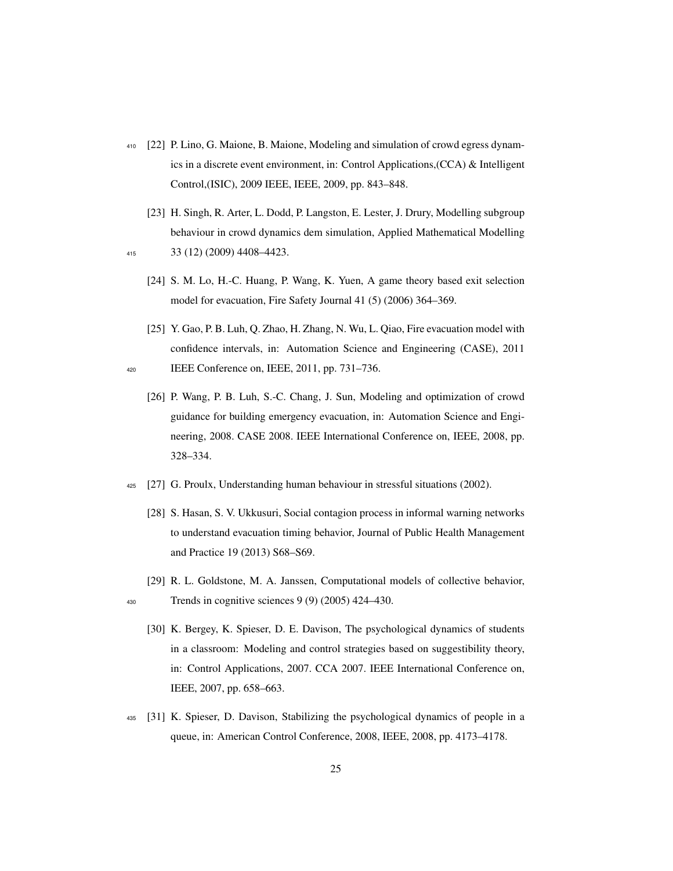- <span id="page-25-0"></span><sup>410</sup> [22] P. Lino, G. Maione, B. Maione, Modeling and simulation of crowd egress dynamics in a discrete event environment, in: Control Applications,(CCA) & Intelligent Control,(ISIC), 2009 IEEE, IEEE, 2009, pp. 843–848.
- <span id="page-25-3"></span><span id="page-25-2"></span><span id="page-25-1"></span>[23] H. Singh, R. Arter, L. Dodd, P. Langston, E. Lester, J. Drury, Modelling subgroup behaviour in crowd dynamics dem simulation, Applied Mathematical Modelling <sup>415</sup> 33 (12) (2009) 4408–4423.
	- - [24] S. M. Lo, H.-C. Huang, P. Wang, K. Yuen, A game theory based exit selection model for evacuation, Fire Safety Journal 41 (5) (2006) 364–369.
- <span id="page-25-5"></span><span id="page-25-4"></span>[25] Y. Gao, P. B. Luh, Q. Zhao, H. Zhang, N. Wu, L. Qiao, Fire evacuation model with confidence intervals, in: Automation Science and Engineering (CASE), 2011 <sup>420</sup> IEEE Conference on, IEEE, 2011, pp. 731–736.
	- [26] P. Wang, P. B. Luh, S.-C. Chang, J. Sun, Modeling and optimization of crowd guidance for building emergency evacuation, in: Automation Science and Engineering, 2008. CASE 2008. IEEE International Conference on, IEEE, 2008, pp. 328–334.
- <span id="page-25-7"></span><span id="page-25-6"></span><sup>425</sup> [27] G. Proulx, Understanding human behaviour in stressful situations (2002).
	- [28] S. Hasan, S. V. Ukkusuri, Social contagion process in informal warning networks to understand evacuation timing behavior, Journal of Public Health Management and Practice 19 (2013) S68–S69.
- <span id="page-25-9"></span><span id="page-25-8"></span>[29] R. L. Goldstone, M. A. Janssen, Computational models of collective behavior, <sup>430</sup> Trends in cognitive sciences 9 (9) (2005) 424–430.
	- [30] K. Bergey, K. Spieser, D. E. Davison, The psychological dynamics of students in a classroom: Modeling and control strategies based on suggestibility theory, in: Control Applications, 2007. CCA 2007. IEEE International Conference on, IEEE, 2007, pp. 658–663.
- <span id="page-25-10"></span><sup>435</sup> [31] K. Spieser, D. Davison, Stabilizing the psychological dynamics of people in a queue, in: American Control Conference, 2008, IEEE, 2008, pp. 4173–4178.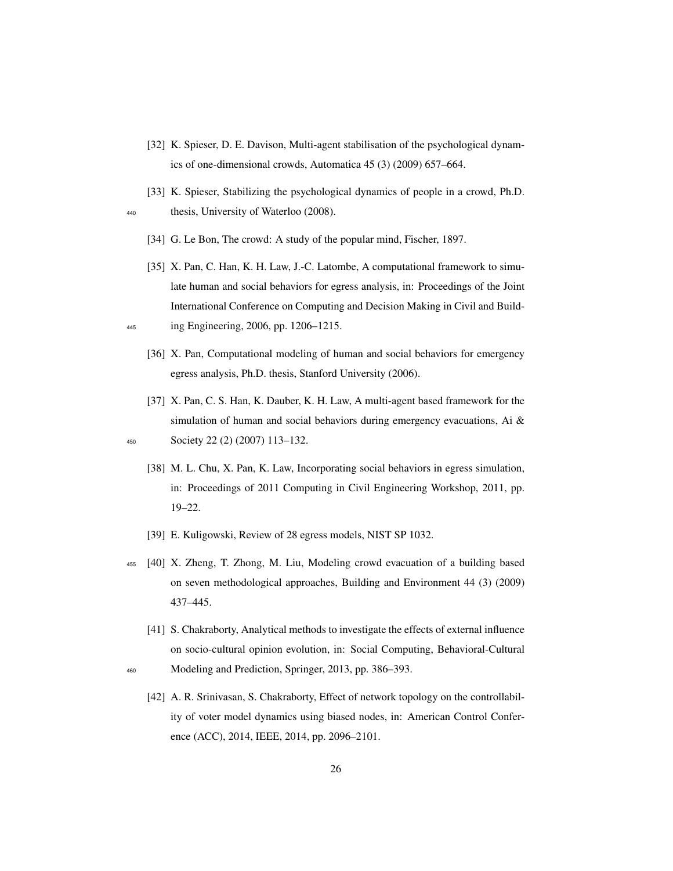- <span id="page-26-0"></span>[32] K. Spieser, D. E. Davison, Multi-agent stabilisation of the psychological dynamics of one-dimensional crowds, Automatica 45 (3) (2009) 657–664.
- [33] K. Spieser, Stabilizing the psychological dynamics of people in a crowd, Ph.D. <sup>440</sup> thesis, University of Waterloo (2008).
	- [34] G. Le Bon, The crowd: A study of the popular mind, Fischer, 1897.
- [35] X. Pan, C. Han, K. H. Law, J.-C. Latombe, A computational framework to simulate human and social behaviors for egress analysis, in: Proceedings of the Joint International Conference on Computing and Decision Making in Civil and Build-<sup>445</sup> ing Engineering, 2006, pp. 1206–1215.
	- [36] X. Pan, Computational modeling of human and social behaviors for emergency egress analysis, Ph.D. thesis, Stanford University (2006).
- [37] X. Pan, C. S. Han, K. Dauber, K. H. Law, A multi-agent based framework for the simulation of human and social behaviors during emergency evacuations, Ai  $\&$ <sup>450</sup> Society 22 (2) (2007) 113–132.
	- [38] M. L. Chu, X. Pan, K. Law, Incorporating social behaviors in egress simulation, in: Proceedings of 2011 Computing in Civil Engineering Workshop, 2011, pp. 19–22.
	- [39] E. Kuligowski, Review of 28 egress models, NIST SP 1032.
- <sup>455</sup> [40] X. Zheng, T. Zhong, M. Liu, Modeling crowd evacuation of a building based on seven methodological approaches, Building and Environment 44 (3) (2009) 437–445.
	- [41] S. Chakraborty, Analytical methods to investigate the effects of external influence on socio-cultural opinion evolution, in: Social Computing, Behavioral-Cultural
- <sup>460</sup> Modeling and Prediction, Springer, 2013, pp. 386–393.
	- [42] A. R. Srinivasan, S. Chakraborty, Effect of network topology on the controllability of voter model dynamics using biased nodes, in: American Control Conference (ACC), 2014, IEEE, 2014, pp. 2096–2101.